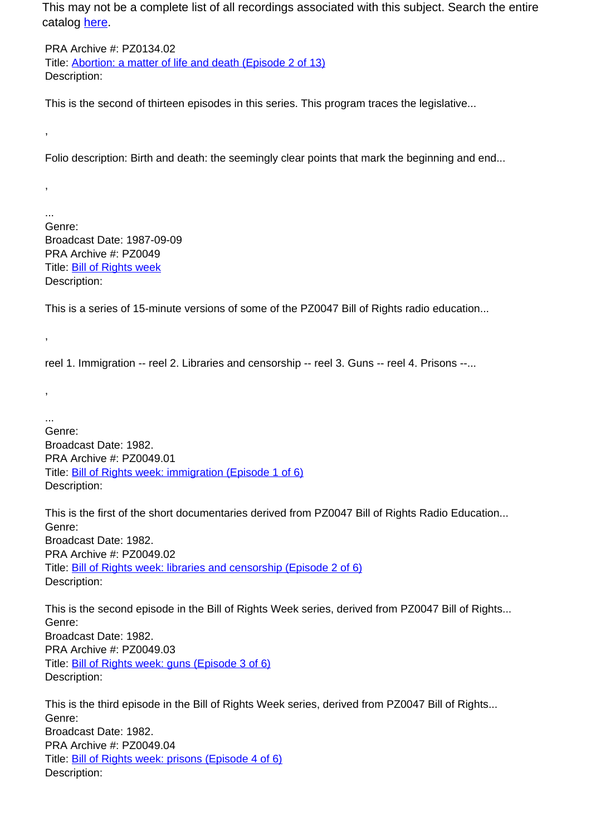This may not be a complete list of all recordings associated with this subject. Search the entire catalog [here.](http://pacificaradioarchives.org/keyword-search)

PRA Archive #: PZ0134.02 Title: Abortion: a matter of life and death (Episode 2 of 13) Description:

This is the second of thirteen episodes in this series. This program traces the legislative...

Folio description: Birth and death: the seemingly clear points that mark the beginning and end...

... Genre: Broadcast Date: 1987-09-09 PRA Archive #: PZ0049 Title: Bill of Rights week Description:

,

,

,

,

This is a series of 15-minute versions of some of the PZ0047 Bill of Rights radio education...

reel 1. Immigration -- reel 2. Libraries and censorship -- reel 3. Guns -- reel 4. Prisons --...

... Genre: Broadcast Date: 1982. PRA Archive #: PZ0049.01 Title: Bill of Rights week: immigration (Episode 1 of 6) Description:

This is the first of the short documentaries derived from PZ0047 Bill of Rights Radio Education... Genre: Broadcast Date: 1982. PRA Archive #: PZ0049.02 Title: Bill of Rights week: libraries and censorship (Episode 2 of 6) Description:

This is the second episode in the Bill of Rights Week series, derived from PZ0047 Bill of Rights... Genre: Broadcast Date: 1982. PRA Archive #: PZ0049.03 Title: Bill of Rights week: guns (Episode 3 of 6) Description:

This is the third episode in the Bill of Rights Week series, derived from PZ0047 Bill of Rights... Genre: Broadcast Date: 1982. PRA Archive #: PZ0049.04 Title: Bill of Rights week: prisons (Episode 4 of 6) Description: